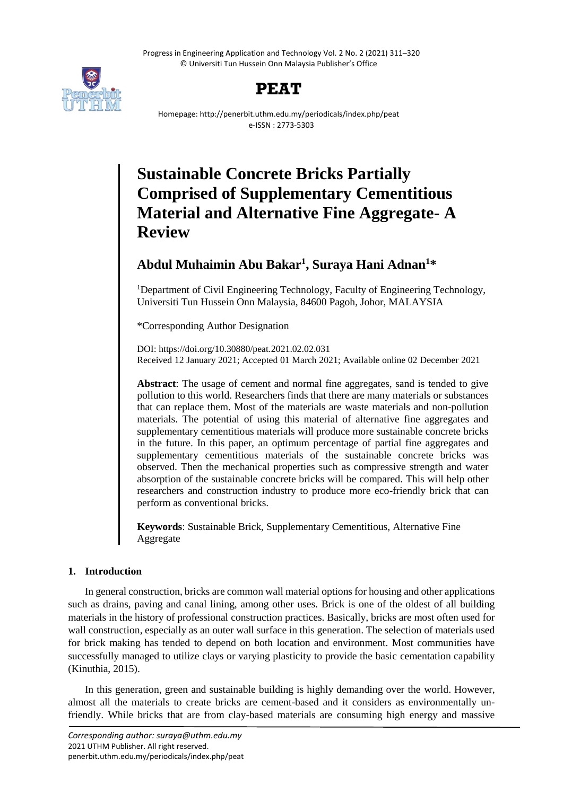Progress in Engineering Application and Technology Vol. 2 No. 2 (2021) 311–320 © Universiti Tun Hussein Onn Malaysia Publisher's Office





Homepage: http://penerbit.uthm.edu.my/periodicals/index.php/peat e-ISSN : 2773-5303

# **Sustainable Concrete Bricks Partially Comprised of Supplementary Cementitious Material and Alternative Fine Aggregate- A Review**

# **Abdul Muhaimin Abu Bakar<sup>1</sup> , Suraya Hani Adnan<sup>1</sup>\***

<sup>1</sup>Department of Civil Engineering Technology, Faculty of Engineering Technology, Universiti Tun Hussein Onn Malaysia, 84600 Pagoh, Johor, MALAYSIA

\*Corresponding Author Designation

DOI: https://doi.org/10.30880/peat.2021.02.02.031 Received 12 January 2021; Accepted 01 March 2021; Available online 02 December 2021

**Abstract**: The usage of cement and normal fine aggregates, sand is tended to give pollution to this world. Researchers finds that there are many materials or substances that can replace them. Most of the materials are waste materials and non-pollution materials. The potential of using this material of alternative fine aggregates and supplementary cementitious materials will produce more sustainable concrete bricks in the future. In this paper, an optimum percentage of partial fine aggregates and supplementary cementitious materials of the sustainable concrete bricks was observed. Then the mechanical properties such as compressive strength and water absorption of the sustainable concrete bricks will be compared. This will help other researchers and construction industry to produce more eco-friendly brick that can perform as conventional bricks.

**Keywords**: Sustainable Brick, Supplementary Cementitious, Alternative Fine Aggregate

# **1. Introduction**

In general construction, bricks are common wall material options for housing and other applications such as drains, paving and canal lining, among other uses. Brick is one of the oldest of all building materials in the history of professional construction practices. Basically, bricks are most often used for wall construction, especially as an outer wall surface in this generation. The selection of materials used for brick making has tended to depend on both location and environment. Most communities have successfully managed to utilize clays or varying plasticity to provide the basic cementation capability (Kinuthia, 2015).

In this generation, green and sustainable building is highly demanding over the world. However, almost all the materials to create bricks are cement-based and it considers as environmentally unfriendly. While bricks that are from clay-based materials are consuming high energy and massive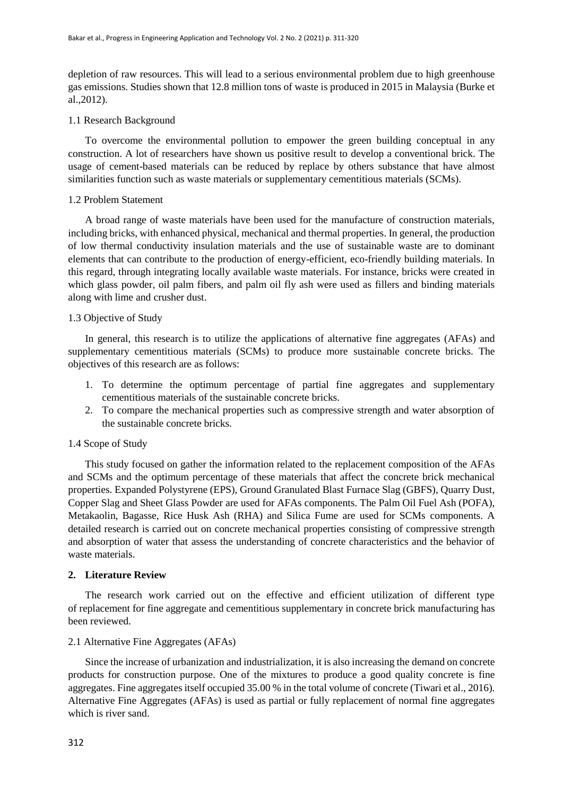depletion of raw resources. This will lead to a serious environmental problem due to high greenhouse gas emissions. Studies shown that 12.8 million tons of waste is produced in 2015 in Malaysia (Burke et al.,2012).

# 1.1 Research Background

To overcome the environmental pollution to empower the green building conceptual in any construction. A lot of researchers have shown us positive result to develop a conventional brick. The usage of cement-based materials can be reduced by replace by others substance that have almost similarities function such as waste materials or supplementary cementitious materials (SCMs).

## 1.2 Problem Statement

A broad range of waste materials have been used for the manufacture of construction materials, including bricks, with enhanced physical, mechanical and thermal properties. In general, the production of low thermal conductivity insulation materials and the use of sustainable waste are to dominant elements that can contribute to the production of energy-efficient, eco-friendly building materials. In this regard, through integrating locally available waste materials. For instance, bricks were created in which glass powder, oil palm fibers, and palm oil fly ash were used as fillers and binding materials along with lime and crusher dust.

# 1.3 Objective of Study

In general, this research is to utilize the applications of alternative fine aggregates (AFAs) and supplementary cementitious materials (SCMs) to produce more sustainable concrete bricks. The objectives of this research are as follows:

- 1. To determine the optimum percentage of partial fine aggregates and supplementary cementitious materials of the sustainable concrete bricks.
- 2. To compare the mechanical properties such as compressive strength and water absorption of the sustainable concrete bricks.

#### 1.4 Scope of Study

This study focused on gather the information related to the replacement composition of the AFAs and SCMs and the optimum percentage of these materials that affect the concrete brick mechanical properties. Expanded Polystyrene (EPS), Ground Granulated Blast Furnace Slag (GBFS), Quarry Dust, Copper Slag and Sheet Glass Powder are used for AFAs components. The Palm Oil Fuel Ash (POFA), Metakaolin, Bagasse, Rice Husk Ash (RHA) and Silica Fume are used for SCMs components. A detailed research is carried out on concrete mechanical properties consisting of compressive strength and absorption of water that assess the understanding of concrete characteristics and the behavior of waste materials.

#### **2. Literature Review**

The research work carried out on the effective and efficient utilization of different type of replacement for fine aggregate and cementitious supplementary in concrete brick manufacturing has been reviewed.

#### 2.1 Alternative Fine Aggregates (AFAs)

Since the increase of urbanization and industrialization, it is also increasing the demand on concrete products for construction purpose. One of the mixtures to produce a good quality concrete is fine aggregates. Fine aggregates itself occupied 35.00 % in the total volume of concrete (Tiwari et al., 2016). Alternative Fine Aggregates (AFAs) is used as partial or fully replacement of normal fine aggregates which is river sand.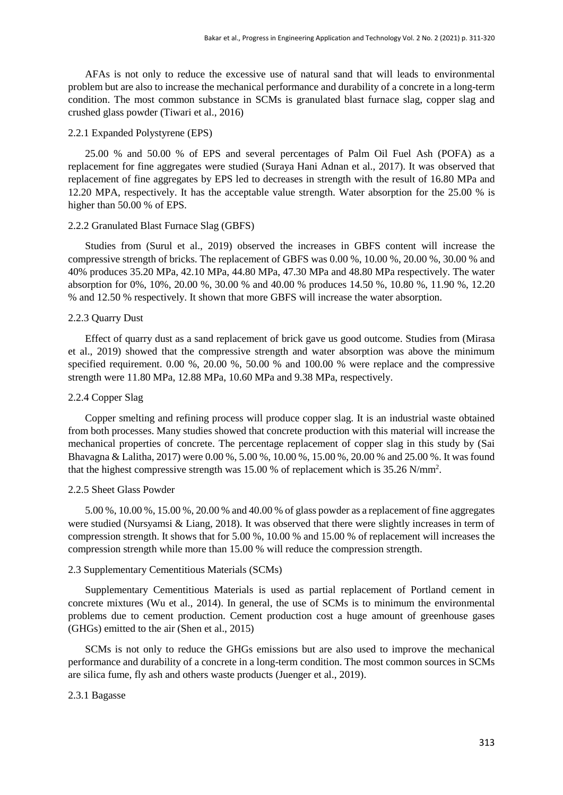AFAs is not only to reduce the excessive use of natural sand that will leads to environmental problem but are also to increase the mechanical performance and durability of a concrete in a long-term condition. The most common substance in SCMs is granulated blast furnace slag, copper slag and crushed glass powder (Tiwari et al., 2016)

#### 2.2.1 Expanded Polystyrene (EPS)

25.00 % and 50.00 % of EPS and several percentages of Palm Oil Fuel Ash (POFA) as a replacement for fine aggregates were studied (Suraya Hani Adnan et al., 2017). It was observed that replacement of fine aggregates by EPS led to decreases in strength with the result of 16.80 MPa and 12.20 MPA, respectively. It has the acceptable value strength. Water absorption for the 25.00 % is higher than 50.00 % of EPS.

#### 2.2.2 Granulated Blast Furnace Slag (GBFS)

Studies from (Surul et al., 2019) observed the increases in GBFS content will increase the compressive strength of bricks. The replacement of GBFS was 0.00 %, 10.00 %, 20.00 %, 30.00 % and 40% produces 35.20 MPa, 42.10 MPa, 44.80 MPa, 47.30 MPa and 48.80 MPa respectively. The water absorption for 0%, 10%, 20.00 %, 30.00 % and 40.00 % produces 14.50 %, 10.80 %, 11.90 %, 12.20 % and 12.50 % respectively. It shown that more GBFS will increase the water absorption.

#### 2.2.3 Quarry Dust

Effect of quarry dust as a sand replacement of brick gave us good outcome. Studies from (Mirasa et al., 2019) showed that the compressive strength and water absorption was above the minimum specified requirement. 0.00 %, 20.00 %, 50.00 % and 100.00 % were replace and the compressive strength were 11.80 MPa, 12.88 MPa, 10.60 MPa and 9.38 MPa, respectively.

#### 2.2.4 Copper Slag

Copper smelting and refining process will produce copper slag. It is an industrial waste obtained from both processes. Many studies showed that concrete production with this material will increase the mechanical properties of concrete. The percentage replacement of copper slag in this study by (Sai Bhavagna & Lalitha, 2017) were 0.00 %, 5.00 %, 10.00 %, 15.00 %, 20.00 % and 25.00 %. It was found that the highest compressive strength was 15.00 % of replacement which is 35.26 N/mm<sup>2</sup> .

#### 2.2.5 Sheet Glass Powder

5.00 %, 10.00 %, 15.00 %, 20.00 % and 40.00 % of glass powder as a replacement of fine aggregates were studied (Nursyamsi & Liang, 2018). It was observed that there were slightly increases in term of compression strength. It shows that for 5.00 %, 10.00 % and 15.00 % of replacement will increases the compression strength while more than 15.00 % will reduce the compression strength.

#### 2.3 Supplementary Cementitious Materials (SCMs)

Supplementary Cementitious Materials is used as partial replacement of Portland cement in concrete mixtures (Wu et al., 2014). In general, the use of SCMs is to minimum the environmental problems due to cement production. Cement production cost a huge amount of greenhouse gases (GHGs) emitted to the air (Shen et al., 2015)

SCMs is not only to reduce the GHGs emissions but are also used to improve the mechanical performance and durability of a concrete in a long-term condition. The most common sources in SCMs are silica fume, fly ash and others waste products (Juenger et al., 2019).

#### 2.3.1 Bagasse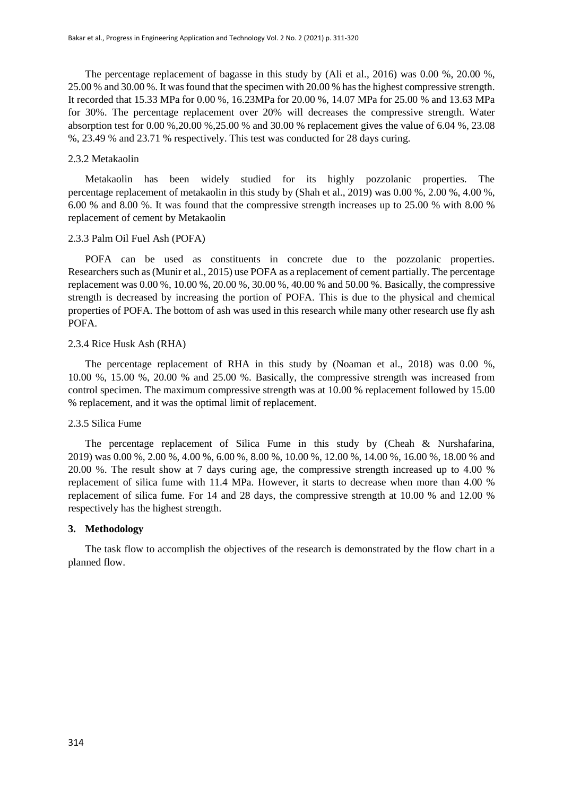The percentage replacement of bagasse in this study by (Ali et al., 2016) was  $0.00\%$ , 20.00 %, 25.00 % and 30.00 %. It was found that the specimen with 20.00 % has the highest compressive strength. It recorded that 15.33 MPa for 0.00 %, 16.23MPa for 20.00 %, 14.07 MPa for 25.00 % and 13.63 MPa for 30%. The percentage replacement over 20% will decreases the compressive strength. Water absorption test for 0.00 %,20.00 %,25.00 % and 30.00 % replacement gives the value of 6.04 %, 23.08 %, 23.49 % and 23.71 % respectively. This test was conducted for 28 days curing.

## 2.3.2 Metakaolin

Metakaolin has been widely studied for its highly pozzolanic properties. The percentage replacement of metakaolin in this study by (Shah et al., 2019) was 0.00 %, 2.00 %, 4.00 %, 6.00 % and 8.00 %. It was found that the compressive strength increases up to 25.00 % with 8.00 % replacement of cement by Metakaolin

#### 2.3.3 Palm Oil Fuel Ash (POFA)

POFA can be used as constituents in concrete due to the pozzolanic properties. Researchers such as (Munir et al., 2015) use POFA as a replacement of cement partially. The percentage replacement was 0.00 %, 10.00 %, 20.00 %, 30.00 %, 40.00 % and 50.00 %. Basically, the compressive strength is decreased by increasing the portion of POFA. This is due to the physical and chemical properties of POFA. The bottom of ash was used in this research while many other research use fly ash POFA.

#### 2.3.4 Rice Husk Ash (RHA)

The percentage replacement of RHA in this study by (Noaman et al., 2018) was 0.00 %, 10.00 %, 15.00 %, 20.00 % and 25.00 %. Basically, the compressive strength was increased from control specimen. The maximum compressive strength was at 10.00 % replacement followed by 15.00 % replacement, and it was the optimal limit of replacement.

# 2.3.5 Silica Fume

The percentage replacement of Silica Fume in this study by (Cheah & Nurshafarina, 2019) was 0.00 %, 2.00 %, 4.00 %, 6.00 %, 8.00 %, 10.00 %, 12.00 %, 14.00 %, 16.00 %, 18.00 % and 20.00 %. The result show at 7 days curing age, the compressive strength increased up to 4.00 % replacement of silica fume with 11.4 MPa. However, it starts to decrease when more than 4.00 % replacement of silica fume. For 14 and 28 days, the compressive strength at 10.00 % and 12.00 % respectively has the highest strength.

#### **3. Methodology**

The task flow to accomplish the objectives of the research is demonstrated by the flow chart in a planned flow.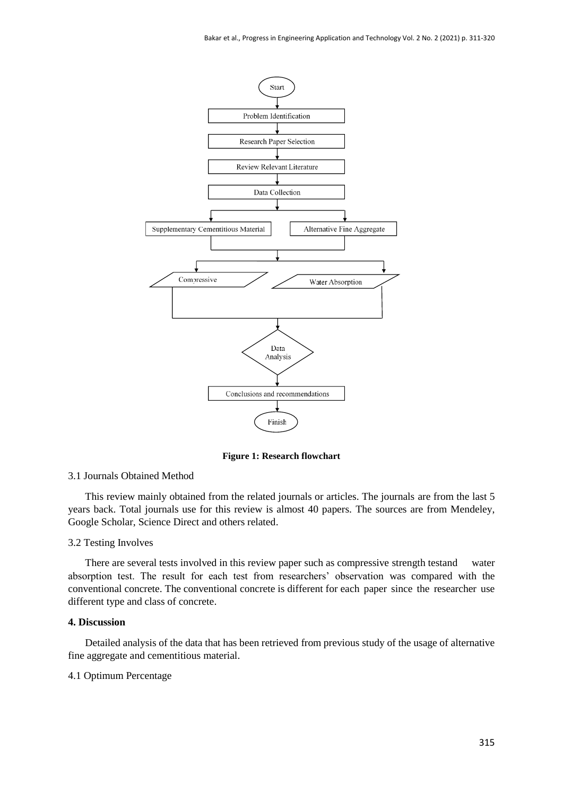

**Figure 1: Research flowchart**

#### 3.1 Journals Obtained Method

This review mainly obtained from the related journals or articles. The journals are from the last 5 years back. Total journals use for this review is almost 40 papers. The sources are from Mendeley, Google Scholar, Science Direct and others related.

#### 3.2 Testing Involves

There are several tests involved in this review paper such as compressive strength testand water absorption test. The result for each test from researchers' observation was compared with the conventional concrete. The conventional concrete is different for each paper since the researcher use different type and class of concrete.

#### **4. Discussion**

Detailed analysis of the data that has been retrieved from previous study of the usage of alternative fine aggregate and cementitious material.

# 4.1 Optimum Percentage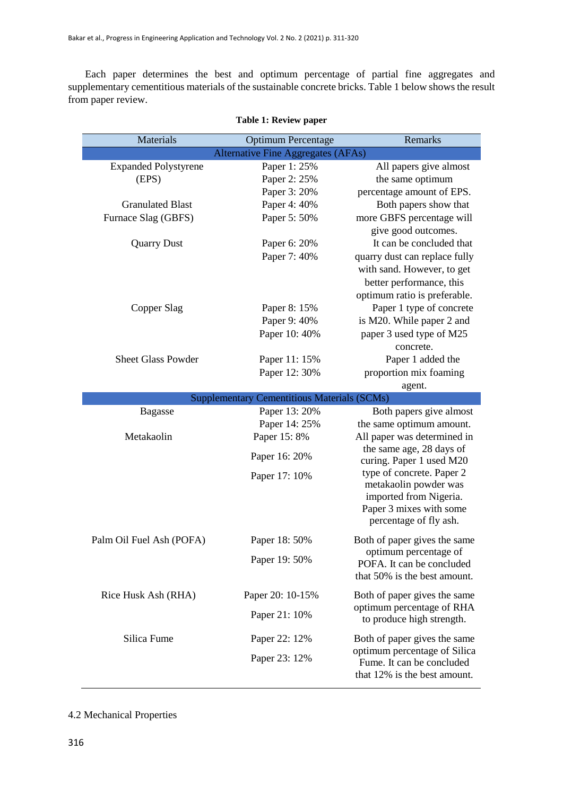Each paper determines the best and optimum percentage of partial fine aggregates and supplementary cementitious materials of the sustainable concrete bricks. Table 1 below shows the result from paper review.

| Materials                   | <b>Optimum Percentage</b>                          | Remarks                                                   |
|-----------------------------|----------------------------------------------------|-----------------------------------------------------------|
|                             | <b>Alternative Fine Aggregates (AFAs)</b>          |                                                           |
| <b>Expanded Polystyrene</b> | Paper 1: 25%                                       | All papers give almost                                    |
| (EPS)                       | Paper 2: 25%                                       | the same optimum                                          |
|                             | Paper 3: 20%                                       | percentage amount of EPS.                                 |
| <b>Granulated Blast</b>     | Paper 4: 40%                                       | Both papers show that                                     |
| Furnace Slag (GBFS)         | Paper 5: 50%                                       | more GBFS percentage will                                 |
|                             |                                                    | give good outcomes.                                       |
| <b>Quarry Dust</b>          | Paper 6: 20%                                       | It can be concluded that                                  |
|                             | Paper 7: 40%                                       | quarry dust can replace fully                             |
|                             |                                                    | with sand. However, to get                                |
|                             |                                                    | better performance, this                                  |
|                             |                                                    | optimum ratio is preferable.                              |
| Copper Slag                 | Paper 8: 15%                                       | Paper 1 type of concrete                                  |
|                             | Paper 9: 40%                                       | is M20. While paper 2 and                                 |
|                             | Paper 10: 40%                                      | paper 3 used type of M25                                  |
|                             |                                                    | concrete.                                                 |
| <b>Sheet Glass Powder</b>   | Paper 11: 15%                                      | Paper 1 added the                                         |
|                             | Paper 12: 30%                                      | proportion mix foaming                                    |
|                             |                                                    | agent.                                                    |
|                             | <b>Supplementary Cementitious Materials (SCMs)</b> |                                                           |
| <b>Bagasse</b>              | Paper 13: 20%                                      | Both papers give almost                                   |
|                             | Paper 14: 25%                                      | the same optimum amount.                                  |
| Metakaolin                  | Paper 15: 8%                                       | All paper was determined in                               |
|                             | Paper 16: 20%                                      | the same age, 28 days of                                  |
|                             |                                                    | curing. Paper 1 used M20                                  |
|                             | Paper 17: 10%                                      | type of concrete. Paper 2                                 |
|                             |                                                    | metakaolin powder was                                     |
|                             |                                                    | imported from Nigeria.<br>Paper 3 mixes with some         |
|                             |                                                    | percentage of fly ash.                                    |
|                             |                                                    |                                                           |
| Palm Oil Fuel Ash (POFA)    | Paper 18: 50%                                      | Both of paper gives the same                              |
|                             | Paper 19: 50%                                      | optimum percentage of                                     |
|                             |                                                    | POFA. It can be concluded                                 |
|                             |                                                    | that 50% is the best amount.                              |
| Rice Husk Ash (RHA)         | Paper 20: 10-15%                                   | Both of paper gives the same                              |
|                             |                                                    | optimum percentage of RHA                                 |
|                             | Paper 21: 10%                                      | to produce high strength.                                 |
| Silica Fume                 | Paper 22: 12%                                      | Both of paper gives the same                              |
|                             |                                                    | optimum percentage of Silica                              |
|                             | Paper 23: 12%                                      | Fume. It can be concluded<br>that 12% is the best amount. |

# **Table 1: Review paper**

# 4.2 Mechanical Properties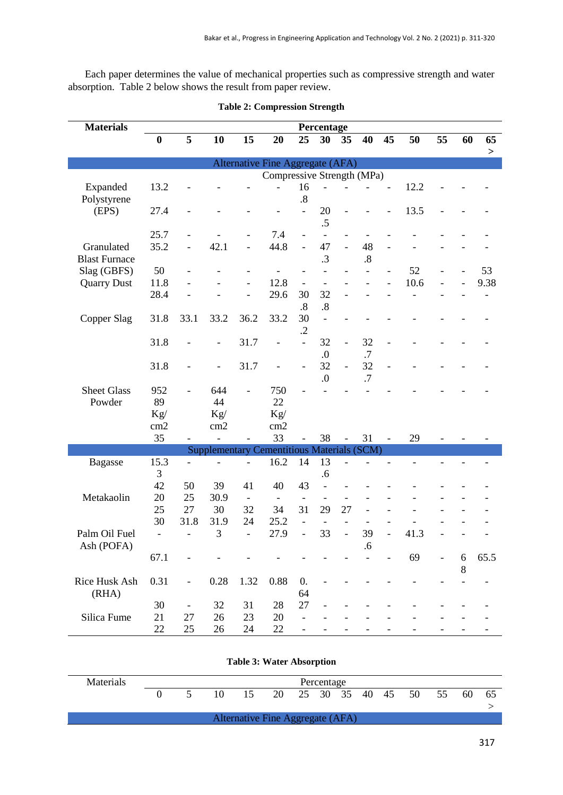Each paper determines the value of mechanical properties such as compressive strength and water absorption. Table 2 below shows the result from paper review.

| <b>Materials</b>                   | Percentage                       |                          |                                                   |                                |                                |                          |                                |                          |                      |                |                |                |        |      |
|------------------------------------|----------------------------------|--------------------------|---------------------------------------------------|--------------------------------|--------------------------------|--------------------------|--------------------------------|--------------------------|----------------------|----------------|----------------|----------------|--------|------|
|                                    | $\boldsymbol{0}$                 | 5                        | 10                                                | $\overline{15}$                | 20                             | 25                       | 30                             | 35                       | 40                   | 45             | 50             | 55             | 60     | 65   |
|                                    |                                  |                          |                                                   |                                |                                |                          |                                |                          |                      |                |                |                |        | >    |
|                                    | Alternative Fine Aggregate (AFA) |                          |                                                   |                                |                                |                          |                                |                          |                      |                |                |                |        |      |
| Compressive Strength (MPa)         |                                  |                          |                                                   |                                |                                |                          |                                |                          |                      |                |                |                |        |      |
| Expanded<br>Polystyrene            | 13.2                             |                          |                                                   |                                |                                | 16<br>$\boldsymbol{.8}$  |                                |                          |                      |                | 12.2           |                |        |      |
| (EPS)                              | 27.4                             |                          |                                                   |                                |                                | $\overline{a}$           | 20<br>.5                       |                          |                      |                | 13.5           |                |        |      |
|                                    | 25.7                             |                          |                                                   |                                | 7.4                            |                          | $\frac{1}{2}$                  | $\overline{\phantom{0}}$ |                      |                |                |                |        |      |
| Granulated<br><b>Blast Furnace</b> | 35.2                             |                          | 42.1                                              | $\overline{a}$                 | 44.8                           | $\overline{a}$           | 47<br>.3                       | $\frac{1}{2}$            | 48<br>$\overline{8}$ |                |                |                |        |      |
| Slag (GBFS)                        | 50                               |                          |                                                   | $\overline{\phantom{a}}$       |                                |                          | $\overline{\phantom{0}}$       |                          |                      | $\overline{a}$ | 52             |                |        | 53   |
| <b>Quarry Dust</b>                 | 11.8                             |                          |                                                   | ÷,                             | 12.8                           | $\overline{\phantom{a}}$ | $\overline{a}$                 |                          |                      |                | 10.6           |                |        | 9.38 |
|                                    | 28.4                             |                          |                                                   |                                | 29.6                           | 30<br>$\boldsymbol{.8}$  | 32<br>.8                       |                          |                      |                |                |                |        |      |
| Copper Slag                        | 31.8                             | 33.1                     | 33.2                                              | 36.2                           | 33.2                           | 30<br>$\cdot$            | $\blacksquare$                 |                          |                      |                |                |                |        |      |
|                                    | 31.8                             |                          |                                                   | 31.7                           | $\overline{\phantom{0}}$       | $\overline{a}$           | 32<br>0.                       | $\overline{\phantom{0}}$ | 32<br>.7             | $\overline{a}$ |                |                |        |      |
|                                    | 31.8                             |                          |                                                   | 31.7                           |                                | $\overline{a}$           | 32<br>$\overline{0}$ .         | $\frac{1}{2}$            | 32<br>.7             |                |                |                |        |      |
| <b>Sheet Glass</b>                 | 952                              |                          | 644                                               |                                | 750                            |                          |                                |                          |                      |                |                |                |        |      |
| Powder                             | 89                               |                          | 44                                                |                                | 22                             |                          |                                |                          |                      |                |                |                |        |      |
|                                    | Kg/                              |                          | Kg/                                               |                                | Kg/                            |                          |                                |                          |                      |                |                |                |        |      |
|                                    | cm2                              |                          | cm2                                               |                                | cm2                            |                          |                                |                          |                      |                |                |                |        |      |
|                                    | 35                               |                          | $\overline{a}$                                    |                                | 33                             |                          | 38                             |                          | 31                   |                | 29             |                |        |      |
|                                    | 15.3                             |                          | <b>Supplementary Cementitious Materials (SCM)</b> |                                | 16.2                           | 14                       | 13                             |                          |                      |                | $\overline{a}$ |                |        |      |
| <b>Bagasse</b>                     | 3                                |                          |                                                   |                                |                                |                          | .6                             |                          |                      |                |                | $\overline{a}$ |        |      |
|                                    | 42                               | 50                       | 39                                                | 41                             | 40                             | 43                       | $\frac{1}{2}$                  |                          |                      |                |                |                |        |      |
| Metakaolin                         | 20                               | 25                       | 30.9                                              |                                |                                |                          |                                |                          |                      |                |                |                |        |      |
|                                    | 25                               | 27                       | 30                                                | $\overline{\phantom{a}}$<br>32 | $\overline{\phantom{0}}$<br>34 | 31                       | 29                             | 27                       |                      |                |                |                |        |      |
|                                    | 30                               | 31.8                     | 31.9                                              | 24                             | 25.2                           |                          |                                |                          |                      |                |                |                |        |      |
| Palm Oil Fuel                      |                                  |                          | 3                                                 |                                | 27.9                           |                          | $\overline{\phantom{0}}$<br>33 | $\overline{a}$           | 39                   | $\overline{a}$ | 41.3           |                |        |      |
| Ash (POFA)                         | $\overline{\phantom{a}}$         |                          |                                                   | $\frac{1}{2}$                  |                                | $\overline{\phantom{0}}$ |                                |                          | .6                   |                |                |                |        |      |
|                                    | 67.1                             |                          |                                                   |                                |                                |                          |                                |                          |                      |                | 69             |                | 6<br>8 | 65.5 |
| Rice Husk Ash<br>(RHA)             | 0.31                             | $\overline{\phantom{a}}$ | 0.28                                              | 1.32                           | 0.88                           | 0.<br>64                 |                                |                          |                      |                |                |                |        |      |
|                                    | 30                               | $\overline{\phantom{0}}$ | 32                                                | 31                             | 28                             | 27                       |                                |                          |                      |                |                |                |        |      |
| Silica Fume                        | 21                               | 27                       | 26                                                | 23                             | $20\,$                         |                          |                                |                          |                      |                |                |                |        |      |
|                                    | 22                               | 25                       | 26                                                | 24                             | 22                             |                          |                                |                          |                      |                |                |                |        |      |

**Table 2: Compression Strength**

| <b>Materials</b> | Percentage |  |    |                                  |    |  |  |  |  |  |                      |    |      |
|------------------|------------|--|----|----------------------------------|----|--|--|--|--|--|----------------------|----|------|
|                  |            |  | 10 | 15.                              | 20 |  |  |  |  |  | 25 30 35 40 45 50 55 | 60 | - 65 |
|                  |            |  |    |                                  |    |  |  |  |  |  |                      |    |      |
|                  |            |  |    | Alternative Fine Aggregate (AFA) |    |  |  |  |  |  |                      |    |      |

**Table 3: Water Absorption**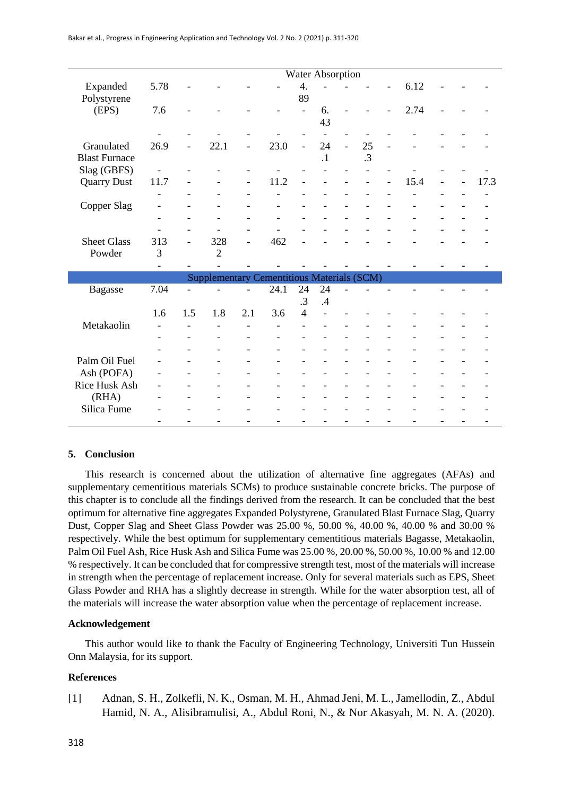|                      | <b>Water Absorption</b> |                          |                                                   |                          |                          |                  |                          |  |           |  |      |  |      |
|----------------------|-------------------------|--------------------------|---------------------------------------------------|--------------------------|--------------------------|------------------|--------------------------|--|-----------|--|------|--|------|
| Expanded             | 5.78                    |                          |                                                   |                          |                          | $\overline{4}$ . |                          |  |           |  | 6.12 |  |      |
| Polystyrene          |                         |                          |                                                   |                          |                          | 89               |                          |  |           |  |      |  |      |
| (EPS)                | 7.6                     |                          |                                                   |                          |                          | ÷,               | 6.                       |  |           |  | 2.74 |  |      |
|                      |                         |                          |                                                   |                          |                          |                  | 43                       |  |           |  |      |  |      |
|                      |                         |                          |                                                   |                          |                          |                  | $\overline{\phantom{0}}$ |  |           |  |      |  |      |
| Granulated           | 26.9                    |                          | 22.1                                              |                          | 23.0                     | $\overline{a}$   | 24                       |  | 25        |  |      |  |      |
| <b>Blast Furnace</b> |                         |                          |                                                   |                          |                          |                  | $\cdot$                  |  | $\cdot$ 3 |  |      |  |      |
| Slag (GBFS)          |                         |                          |                                                   |                          |                          |                  |                          |  |           |  |      |  |      |
| <b>Quarry Dust</b>   | 11.7                    |                          |                                                   | $\overline{\phantom{0}}$ | 11.2                     |                  |                          |  |           |  | 15.4 |  | 17.3 |
|                      |                         |                          |                                                   |                          |                          |                  |                          |  |           |  |      |  |      |
| Copper Slag          |                         |                          |                                                   |                          |                          |                  |                          |  |           |  |      |  |      |
|                      |                         |                          |                                                   |                          |                          |                  |                          |  |           |  |      |  |      |
|                      |                         |                          |                                                   |                          |                          |                  |                          |  |           |  |      |  |      |
| <b>Sheet Glass</b>   | 313                     |                          | 328                                               | $\overline{\phantom{0}}$ | 462                      |                  |                          |  |           |  |      |  |      |
| Powder               | 3                       |                          | $\overline{2}$                                    |                          |                          |                  |                          |  |           |  |      |  |      |
|                      |                         |                          |                                                   |                          |                          |                  |                          |  |           |  |      |  |      |
|                      |                         |                          | <b>Supplementary Cementitious Materials (SCM)</b> |                          |                          |                  |                          |  |           |  |      |  |      |
| <b>Bagasse</b>       | 7.04                    |                          |                                                   |                          | 24.1                     | 24               | 24                       |  |           |  |      |  |      |
|                      |                         |                          |                                                   |                          |                          | .3               | .4                       |  |           |  |      |  |      |
|                      | 1.6                     | 1.5                      | 1.8                                               | 2.1                      | 3.6                      | $\overline{4}$   |                          |  |           |  |      |  |      |
| Metakaolin           |                         |                          |                                                   |                          |                          |                  |                          |  |           |  |      |  |      |
|                      |                         | $\overline{\phantom{a}}$ | $\overline{\phantom{0}}$                          | $\overline{\phantom{0}}$ | $\overline{\phantom{a}}$ |                  |                          |  |           |  |      |  |      |
|                      |                         |                          |                                                   |                          |                          |                  |                          |  |           |  |      |  |      |
| Palm Oil Fuel        |                         |                          |                                                   |                          |                          |                  |                          |  |           |  |      |  |      |
| Ash (POFA)           |                         | ۰                        |                                                   |                          |                          |                  |                          |  |           |  |      |  |      |
| Rice Husk Ash        |                         |                          |                                                   |                          |                          |                  |                          |  |           |  |      |  |      |
| (RHA)                |                         |                          |                                                   |                          |                          |                  |                          |  |           |  |      |  |      |
| Silica Fume          |                         |                          |                                                   |                          |                          |                  |                          |  |           |  |      |  |      |
|                      |                         |                          |                                                   |                          |                          |                  |                          |  |           |  |      |  |      |

# **5. Conclusion**

This research is concerned about the utilization of alternative fine aggregates (AFAs) and supplementary cementitious materials SCMs) to produce sustainable concrete bricks. The purpose of this chapter is to conclude all the findings derived from the research. It can be concluded that the best optimum for alternative fine aggregates Expanded Polystyrene, Granulated Blast Furnace Slag, Quarry Dust, Copper Slag and Sheet Glass Powder was 25.00 %, 50.00 %, 40.00 %, 40.00 % and 30.00 % respectively. While the best optimum for supplementary cementitious materials Bagasse, Metakaolin, Palm Oil Fuel Ash, Rice Husk Ash and Silica Fume was 25.00 %, 20.00 %, 50.00 %, 10.00 % and 12.00 % respectively. It can be concluded that for compressive strength test, most of the materials will increase in strength when the percentage of replacement increase. Only for several materials such as EPS, Sheet Glass Powder and RHA has a slightly decrease in strength. While for the water absorption test, all of the materials will increase the water absorption value when the percentage of replacement increase.

#### **Acknowledgement**

This author would like to thank the Faculty of Engineering Technology, Universiti Tun Hussein Onn Malaysia, for its support.

#### **References**

[1] Adnan, S. H., Zolkefli, N. K., Osman, M. H., Ahmad Jeni, M. L., Jamellodin, Z., Abdul Hamid, N. A., Alisibramulisi, A., Abdul Roni, N., & Nor Akasyah, M. N. A. (2020).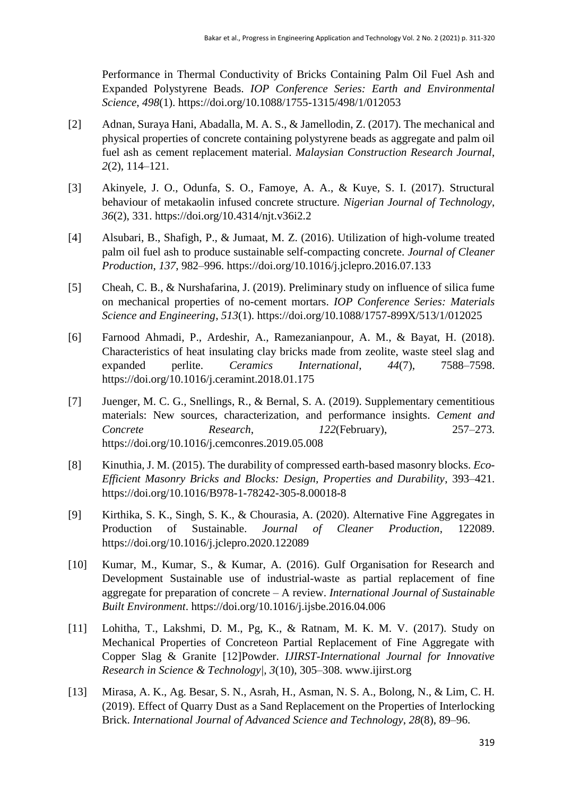Performance in Thermal Conductivity of Bricks Containing Palm Oil Fuel Ash and Expanded Polystyrene Beads. *IOP Conference Series: Earth and Environmental Science*, *498*(1). https://doi.org/10.1088/1755-1315/498/1/012053

- [2] Adnan, Suraya Hani, Abadalla, M. A. S., & Jamellodin, Z. (2017). The mechanical and physical properties of concrete containing polystyrene beads as aggregate and palm oil fuel ash as cement replacement material. *Malaysian Construction Research Journal*, *2*(2), 114–121.
- [3] Akinyele, J. O., Odunfa, S. O., Famoye, A. A., & Kuye, S. I. (2017). Structural behaviour of metakaolin infused concrete structure. *Nigerian Journal of Technology*, *36*(2), 331. https://doi.org/10.4314/njt.v36i2.2
- [4] Alsubari, B., Shafigh, P., & Jumaat, M. Z. (2016). Utilization of high-volume treated palm oil fuel ash to produce sustainable self-compacting concrete. *Journal of Cleaner Production*, *137*, 982–996. https://doi.org/10.1016/j.jclepro.2016.07.133
- [5] Cheah, C. B., & Nurshafarina, J. (2019). Preliminary study on influence of silica fume on mechanical properties of no-cement mortars. *IOP Conference Series: Materials Science and Engineering*, *513*(1). https://doi.org/10.1088/1757-899X/513/1/012025
- [6] Farnood Ahmadi, P., Ardeshir, A., Ramezanianpour, A. M., & Bayat, H. (2018). Characteristics of heat insulating clay bricks made from zeolite, waste steel slag and expanded perlite. *Ceramics International*, *44*(7), 7588–7598. https://doi.org/10.1016/j.ceramint.2018.01.175
- [7] Juenger, M. C. G., Snellings, R., & Bernal, S. A. (2019). Supplementary cementitious materials: New sources, characterization, and performance insights. *Cement and Concrete Research*, *122*(February), 257–273. https://doi.org/10.1016/j.cemconres.2019.05.008
- [8] Kinuthia, J. M. (2015). The durability of compressed earth-based masonry blocks. *Eco-Efficient Masonry Bricks and Blocks: Design, Properties and Durability*, 393–421. https://doi.org/10.1016/B978-1-78242-305-8.00018-8
- [9] Kirthika, S. K., Singh, S. K., & Chourasia, A. (2020). Alternative Fine Aggregates in Production of Sustainable. *Journal of Cleaner Production*, 122089. https://doi.org/10.1016/j.jclepro.2020.122089
- [10] Kumar, M., Kumar, S., & Kumar, A. (2016). Gulf Organisation for Research and Development Sustainable use of industrial-waste as partial replacement of fine aggregate for preparation of concrete – A review. *International Journal of Sustainable Built Environment*. https://doi.org/10.1016/j.ijsbe.2016.04.006
- [11] Lohitha, T., Lakshmi, D. M., Pg, K., & Ratnam, M. K. M. V. (2017). Study on Mechanical Properties of Concreteon Partial Replacement of Fine Aggregate with Copper Slag & Granite [12]Powder. *IJIRST-International Journal for Innovative Research in Science & Technology|*, *3*(10), 305–308. www.ijirst.org
- [13] Mirasa, A. K., Ag. Besar, S. N., Asrah, H., Asman, N. S. A., Bolong, N., & Lim, C. H. (2019). Effect of Quarry Dust as a Sand Replacement on the Properties of Interlocking Brick. *International Journal of Advanced Science and Technology*, *28*(8), 89–96.